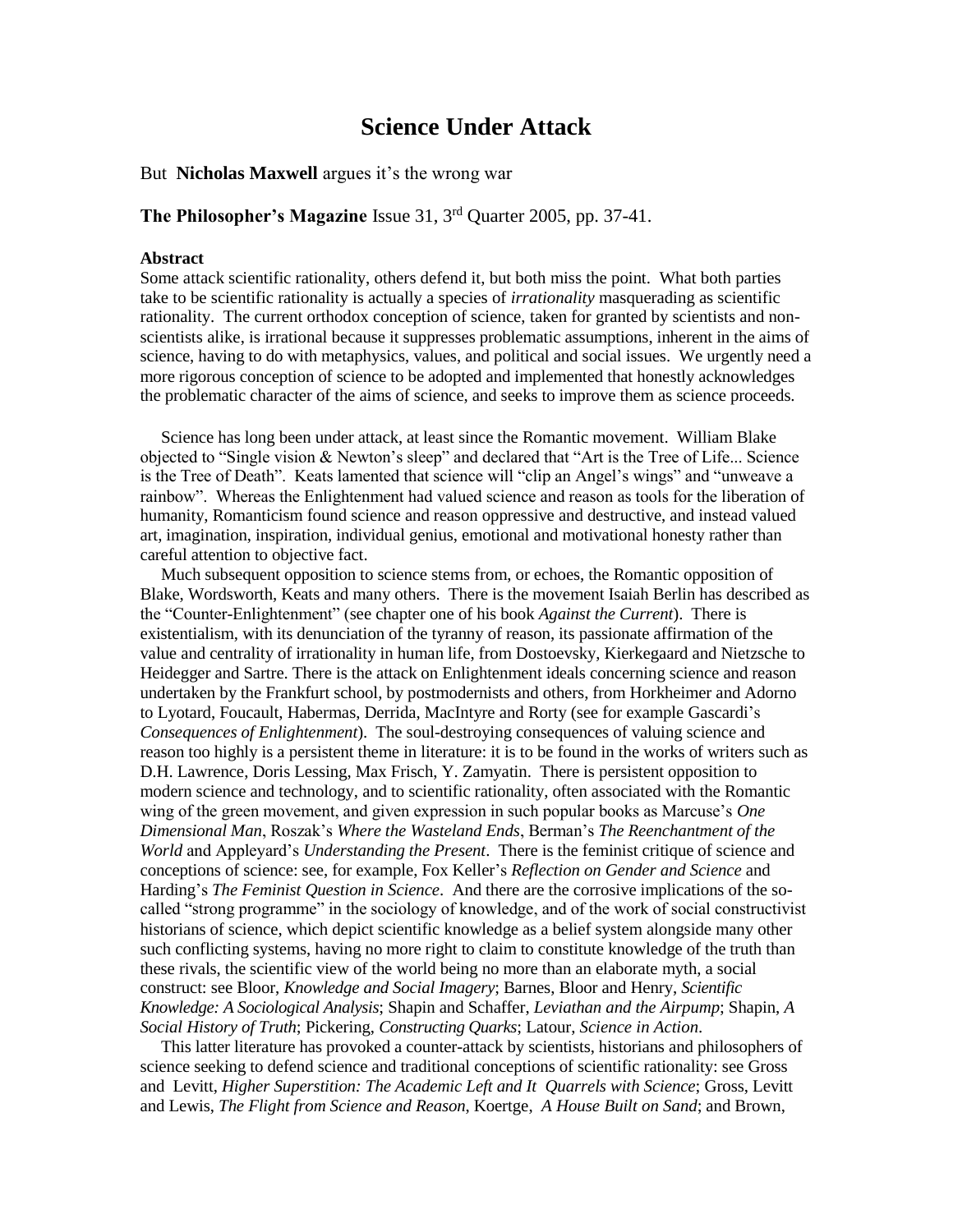# **Science Under Attack**

## But **Nicholas Maxwell** argues it's the wrong war

# **The Philosopher's Magazine** Issue 31, 3rd Quarter 2005, pp. 37-41.

#### **Abstract**

Some attack scientific rationality, others defend it, but both miss the point. What both parties take to be scientific rationality is actually a species of *irrationality* masquerading as scientific rationality. The current orthodox conception of science, taken for granted by scientists and nonscientists alike, is irrational because it suppresses problematic assumptions, inherent in the aims of science, having to do with metaphysics, values, and political and social issues. We urgently need a more rigorous conception of science to be adopted and implemented that honestly acknowledges the problematic character of the aims of science, and seeks to improve them as science proceeds.

 Science has long been under attack, at least since the Romantic movement. William Blake objected to "Single vision & Newton's sleep" and declared that "Art is the Tree of Life... Science is the Tree of Death". Keats lamented that science will "clip an Angel's wings" and "unweave a rainbow". Whereas the Enlightenment had valued science and reason as tools for the liberation of humanity, Romanticism found science and reason oppressive and destructive, and instead valued art, imagination, inspiration, individual genius, emotional and motivational honesty rather than careful attention to objective fact.

 Much subsequent opposition to science stems from, or echoes, the Romantic opposition of Blake, Wordsworth, Keats and many others. There is the movement Isaiah Berlin has described as the "Counter-Enlightenment" (see chapter one of his book *Against the Current*). There is existentialism, with its denunciation of the tyranny of reason, its passionate affirmation of the value and centrality of irrationality in human life, from Dostoevsky, Kierkegaard and Nietzsche to Heidegger and Sartre. There is the attack on Enlightenment ideals concerning science and reason undertaken by the Frankfurt school, by postmodernists and others, from Horkheimer and Adorno to Lyotard, Foucault, Habermas, Derrida, MacIntyre and Rorty (see for example Gascardi's *Consequences of Enlightenment*). The soul-destroying consequences of valuing science and reason too highly is a persistent theme in literature: it is to be found in the works of writers such as D.H. Lawrence, Doris Lessing, Max Frisch, Y. Zamyatin. There is persistent opposition to modern science and technology, and to scientific rationality, often associated with the Romantic wing of the green movement, and given expression in such popular books as Marcuse's *One Dimensional Man*, Roszak's *Where the Wasteland Ends*, Berman's *The Reenchantment of the World* and Appleyard's *Understanding the Present*. There is the feminist critique of science and conceptions of science: see, for example, Fox Keller's *Reflection on Gender and Science* and Harding's *The Feminist Question in Science*. And there are the corrosive implications of the socalled "strong programme" in the sociology of knowledge, and of the work of social constructivist historians of science, which depict scientific knowledge as a belief system alongside many other such conflicting systems, having no more right to claim to constitute knowledge of the truth than these rivals, the scientific view of the world being no more than an elaborate myth, a social construct: see Bloor, *Knowledge and Social Imagery*; Barnes, Bloor and Henry, *Scientific Knowledge: A Sociological Analysis*; Shapin and Schaffer, *Leviathan and the Airpump*; Shapin, *A Social History of Truth*; Pickering, *Constructing Quarks*; Latour, *Science in Action*.

 This latter literature has provoked a counter-attack by scientists, historians and philosophers of science seeking to defend science and traditional conceptions of scientific rationality: see Gross and Levitt, *Higher Superstition: The Academic Left and It Quarrels with Science*; Gross, Levitt and Lewis, *The Flight from Science and Reason*, Koertge, *A House Built on Sand*; and Brown,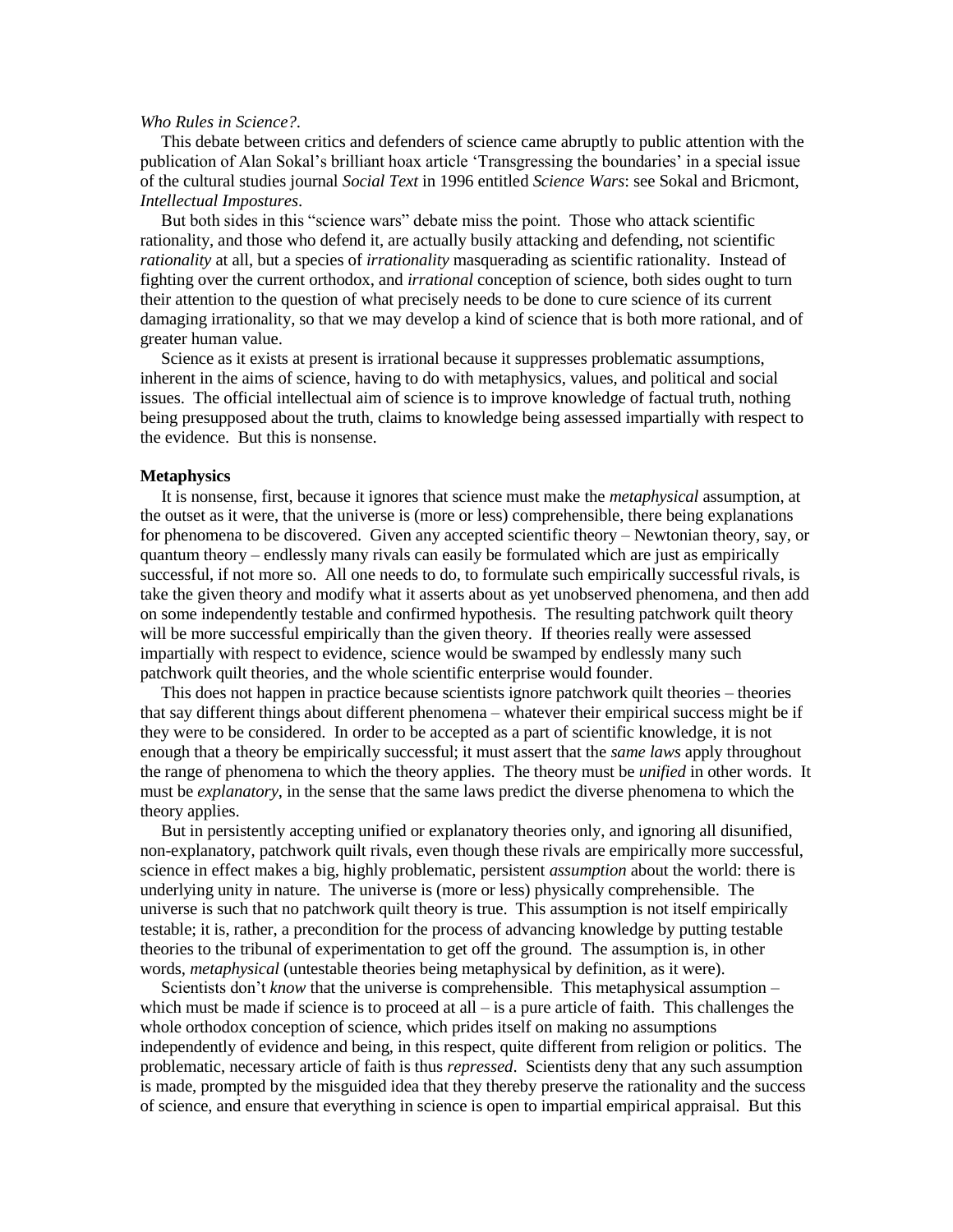### *Who Rules in Science?*.

 This debate between critics and defenders of science came abruptly to public attention with the publication of Alan Sokal's brilliant hoax article 'Transgressing the boundaries' in a special issue of the cultural studies journal *Social Text* in 1996 entitled *Science Wars*: see Sokal and Bricmont, *Intellectual Impostures*.

 But both sides in this "science wars" debate miss the point. Those who attack scientific rationality, and those who defend it, are actually busily attacking and defending, not scientific *rationality* at all, but a species of *irrationality* masquerading as scientific rationality. Instead of fighting over the current orthodox, and *irrational* conception of science, both sides ought to turn their attention to the question of what precisely needs to be done to cure science of its current damaging irrationality, so that we may develop a kind of science that is both more rational, and of greater human value.

 Science as it exists at present is irrational because it suppresses problematic assumptions, inherent in the aims of science, having to do with metaphysics, values, and political and social issues. The official intellectual aim of science is to improve knowledge of factual truth, nothing being presupposed about the truth, claims to knowledge being assessed impartially with respect to the evidence. But this is nonsense.

#### **Metaphysics**

 It is nonsense, first, because it ignores that science must make the *metaphysical* assumption, at the outset as it were, that the universe is (more or less) comprehensible, there being explanations for phenomena to be discovered. Given any accepted scientific theory – Newtonian theory, say, or quantum theory – endlessly many rivals can easily be formulated which are just as empirically successful, if not more so. All one needs to do, to formulate such empirically successful rivals, is take the given theory and modify what it asserts about as yet unobserved phenomena, and then add on some independently testable and confirmed hypothesis. The resulting patchwork quilt theory will be more successful empirically than the given theory. If theories really were assessed impartially with respect to evidence, science would be swamped by endlessly many such patchwork quilt theories, and the whole scientific enterprise would founder.

 This does not happen in practice because scientists ignore patchwork quilt theories – theories that say different things about different phenomena – whatever their empirical success might be if they were to be considered. In order to be accepted as a part of scientific knowledge, it is not enough that a theory be empirically successful; it must assert that the *same laws* apply throughout the range of phenomena to which the theory applies. The theory must be *unified* in other words. It must be *explanatory*, in the sense that the same laws predict the diverse phenomena to which the theory applies.

 But in persistently accepting unified or explanatory theories only, and ignoring all disunified, non-explanatory, patchwork quilt rivals, even though these rivals are empirically more successful, science in effect makes a big, highly problematic, persistent *assumption* about the world: there is underlying unity in nature. The universe is (more or less) physically comprehensible. The universe is such that no patchwork quilt theory is true. This assumption is not itself empirically testable; it is, rather, a precondition for the process of advancing knowledge by putting testable theories to the tribunal of experimentation to get off the ground. The assumption is, in other words, *metaphysical* (untestable theories being metaphysical by definition, as it were).

 Scientists don't *know* that the universe is comprehensible. This metaphysical assumption – which must be made if science is to proceed at all  $-$  is a pure article of faith. This challenges the whole orthodox conception of science, which prides itself on making no assumptions independently of evidence and being, in this respect, quite different from religion or politics. The problematic, necessary article of faith is thus *repressed*. Scientists deny that any such assumption is made, prompted by the misguided idea that they thereby preserve the rationality and the success of science, and ensure that everything in science is open to impartial empirical appraisal. But this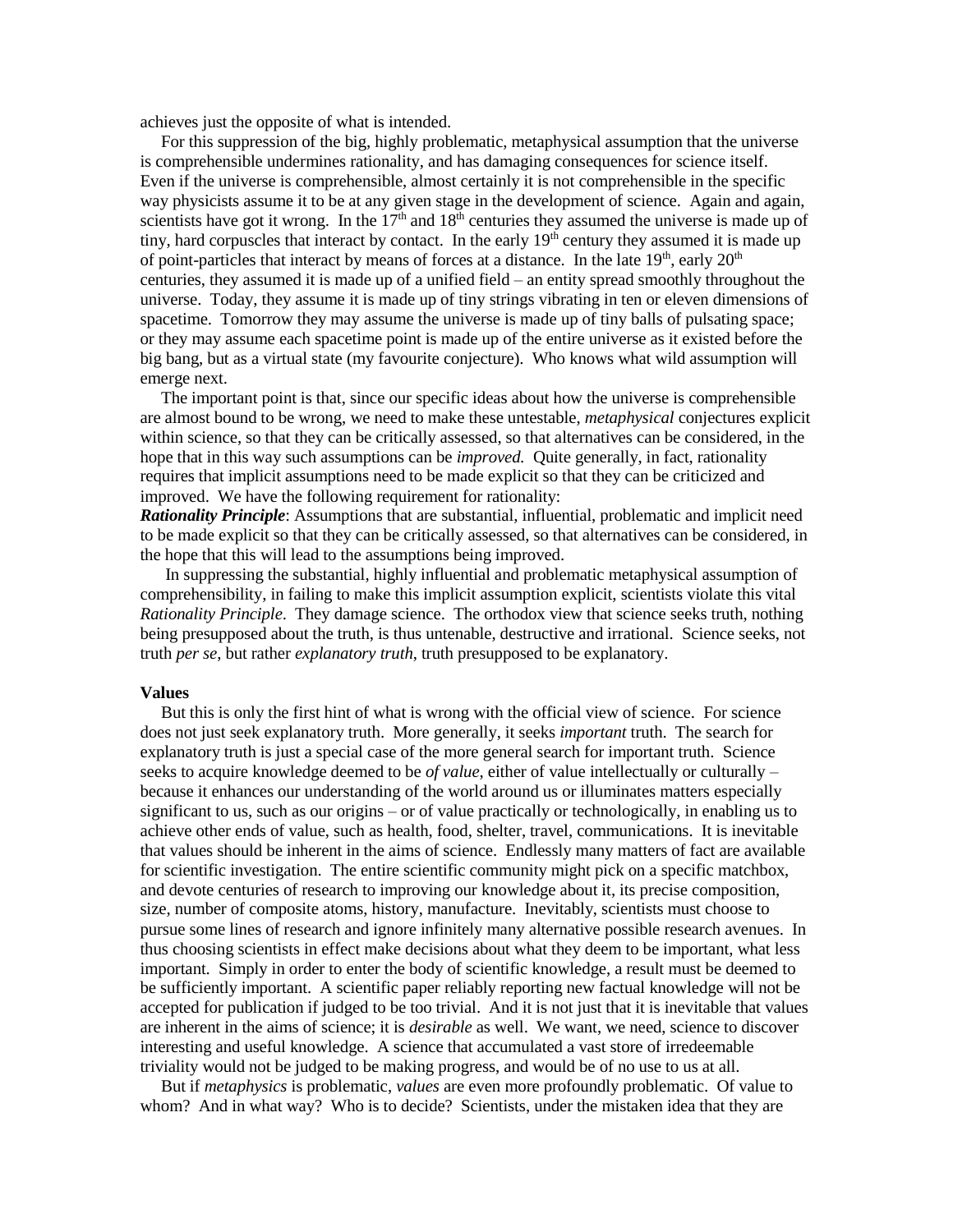achieves just the opposite of what is intended.

 For this suppression of the big, highly problematic, metaphysical assumption that the universe is comprehensible undermines rationality, and has damaging consequences for science itself. Even if the universe is comprehensible, almost certainly it is not comprehensible in the specific way physicists assume it to be at any given stage in the development of science. Again and again, scientists have got it wrong. In the  $17<sup>th</sup>$  and  $18<sup>th</sup>$  centuries they assumed the universe is made up of tiny, hard corpuscles that interact by contact. In the early 19<sup>th</sup> century they assumed it is made up of point-particles that interact by means of forces at a distance. In the late 19<sup>th</sup>, early 20<sup>th</sup> centuries, they assumed it is made up of a unified field – an entity spread smoothly throughout the universe. Today, they assume it is made up of tiny strings vibrating in ten or eleven dimensions of spacetime. Tomorrow they may assume the universe is made up of tiny balls of pulsating space; or they may assume each spacetime point is made up of the entire universe as it existed before the big bang, but as a virtual state (my favourite conjecture). Who knows what wild assumption will emerge next.

 The important point is that, since our specific ideas about how the universe is comprehensible are almost bound to be wrong, we need to make these untestable, *metaphysical* conjectures explicit within science, so that they can be critically assessed, so that alternatives can be considered, in the hope that in this way such assumptions can be *improved.* Quite generally, in fact, rationality requires that implicit assumptions need to be made explicit so that they can be criticized and improved. We have the following requirement for rationality:

*Rationality Principle*: Assumptions that are substantial, influential, problematic and implicit need to be made explicit so that they can be critically assessed, so that alternatives can be considered, in the hope that this will lead to the assumptions being improved.

 In suppressing the substantial, highly influential and problematic metaphysical assumption of comprehensibility, in failing to make this implicit assumption explicit, scientists violate this vital *Rationality Principle*. They damage science. The orthodox view that science seeks truth, nothing being presupposed about the truth, is thus untenable, destructive and irrational. Science seeks, not truth *per se*, but rather *explanatory truth*, truth presupposed to be explanatory.

### **Values**

 But this is only the first hint of what is wrong with the official view of science. For science does not just seek explanatory truth. More generally, it seeks *important* truth. The search for explanatory truth is just a special case of the more general search for important truth. Science seeks to acquire knowledge deemed to be *of value*, either of value intellectually or culturally – because it enhances our understanding of the world around us or illuminates matters especially significant to us, such as our origins – or of value practically or technologically, in enabling us to achieve other ends of value, such as health, food, shelter, travel, communications. It is inevitable that values should be inherent in the aims of science. Endlessly many matters of fact are available for scientific investigation. The entire scientific community might pick on a specific matchbox, and devote centuries of research to improving our knowledge about it, its precise composition, size, number of composite atoms, history, manufacture. Inevitably, scientists must choose to pursue some lines of research and ignore infinitely many alternative possible research avenues. In thus choosing scientists in effect make decisions about what they deem to be important, what less important. Simply in order to enter the body of scientific knowledge, a result must be deemed to be sufficiently important. A scientific paper reliably reporting new factual knowledge will not be accepted for publication if judged to be too trivial. And it is not just that it is inevitable that values are inherent in the aims of science; it is *desirable* as well. We want, we need, science to discover interesting and useful knowledge. A science that accumulated a vast store of irredeemable triviality would not be judged to be making progress, and would be of no use to us at all.

 But if *metaphysics* is problematic, *values* are even more profoundly problematic. Of value to whom? And in what way? Who is to decide? Scientists, under the mistaken idea that they are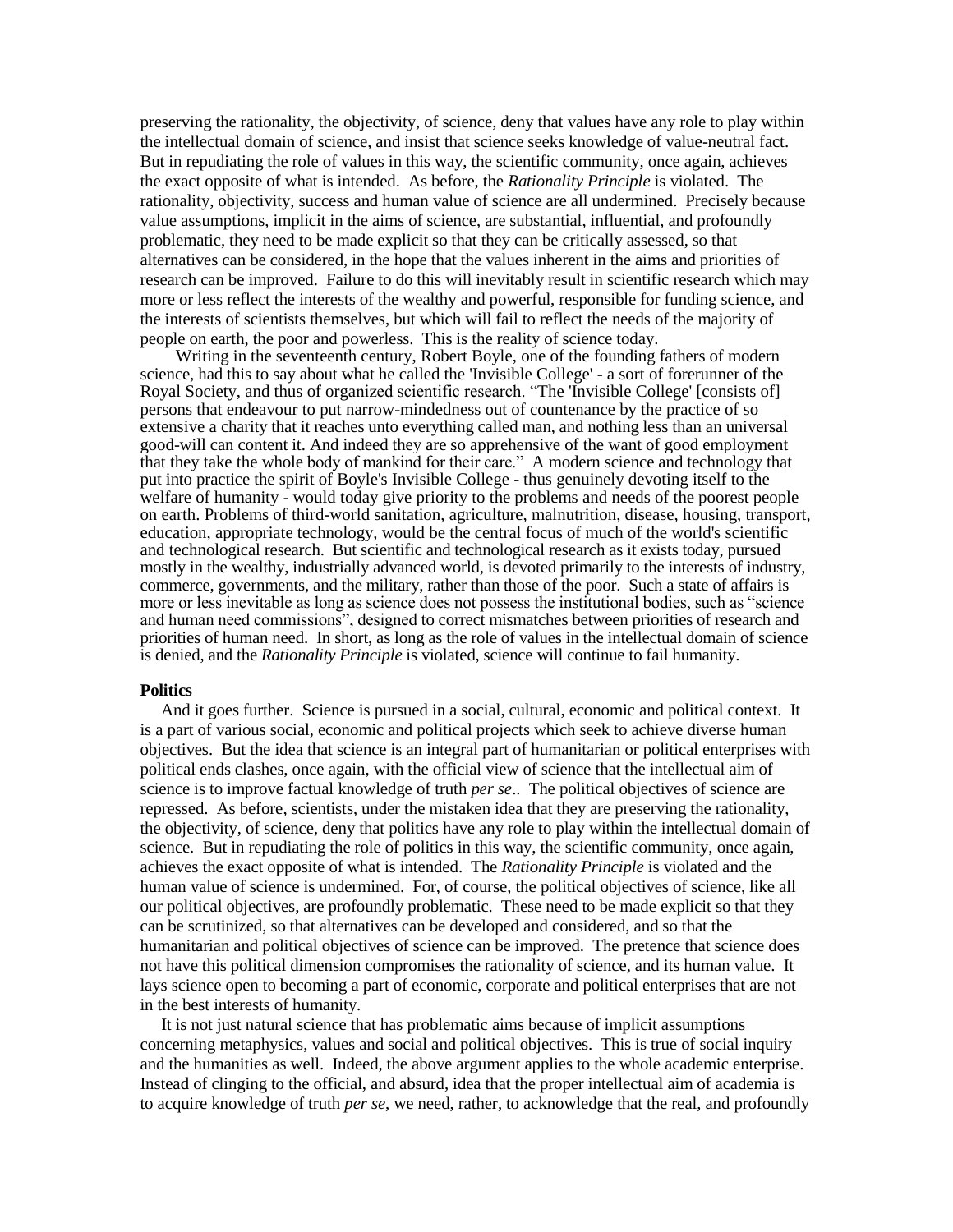preserving the rationality, the objectivity, of science, deny that values have any role to play within the intellectual domain of science, and insist that science seeks knowledge of value-neutral fact. But in repudiating the role of values in this way, the scientific community, once again, achieves the exact opposite of what is intended. As before, the *Rationality Principle* is violated. The rationality, objectivity, success and human value of science are all undermined. Precisely because value assumptions, implicit in the aims of science, are substantial, influential, and profoundly problematic, they need to be made explicit so that they can be critically assessed, so that alternatives can be considered, in the hope that the values inherent in the aims and priorities of research can be improved. Failure to do this will inevitably result in scientific research which may more or less reflect the interests of the wealthy and powerful, responsible for funding science, and the interests of scientists themselves, but which will fail to reflect the needs of the majority of people on earth, the poor and powerless. This is the reality of science today.

 Writing in the seventeenth century, Robert Boyle, one of the founding fathers of modern science, had this to say about what he called the 'Invisible College' - a sort of forerunner of the Royal Society, and thus of organized scientific research. "The 'Invisible College' [consists of] persons that endeavour to put narrow-mindedness out of countenance by the practice of so extensive a charity that it reaches unto everything called man, and nothing less than an universal good-will can content it. And indeed they are so apprehensive of the want of good employment that they take the whole body of mankind for their care." A modern science and technology that put into practice the spirit of Boyle's Invisible College - thus genuinely devoting itself to the welfare of humanity - would today give priority to the problems and needs of the poorest people on earth. Problems of third-world sanitation, agriculture, malnutrition, disease, housing, transport, education, appropriate technology, would be the central focus of much of the world's scientific and technological research. But scientific and technological research as it exists today, pursued mostly in the wealthy, industrially advanced world, is devoted primarily to the interests of industry, commerce, governments, and the military, rather than those of the poor. Such a state of affairs is more or less inevitable as long as science does not possess the institutional bodies, such as "science and human need commissions", designed to correct mismatches between priorities of research and priorities of human need. In short, as long as the role of values in the intellectual domain of science is denied, and the *Rationality Principle* is violated, science will continue to fail humanity.

### **Politics**

 And it goes further. Science is pursued in a social, cultural, economic and political context. It is a part of various social, economic and political projects which seek to achieve diverse human objectives. But the idea that science is an integral part of humanitarian or political enterprises with political ends clashes, once again, with the official view of science that the intellectual aim of science is to improve factual knowledge of truth *per se*.. The political objectives of science are repressed. As before, scientists, under the mistaken idea that they are preserving the rationality, the objectivity, of science, deny that politics have any role to play within the intellectual domain of science. But in repudiating the role of politics in this way, the scientific community, once again, achieves the exact opposite of what is intended. The *Rationality Principle* is violated and the human value of science is undermined. For, of course, the political objectives of science, like all our political objectives, are profoundly problematic. These need to be made explicit so that they can be scrutinized, so that alternatives can be developed and considered, and so that the humanitarian and political objectives of science can be improved. The pretence that science does not have this political dimension compromises the rationality of science, and its human value. It lays science open to becoming a part of economic, corporate and political enterprises that are not in the best interests of humanity.

 It is not just natural science that has problematic aims because of implicit assumptions concerning metaphysics, values and social and political objectives. This is true of social inquiry and the humanities as well. Indeed, the above argument applies to the whole academic enterprise. Instead of clinging to the official, and absurd, idea that the proper intellectual aim of academia is to acquire knowledge of truth *per se*, we need, rather, to acknowledge that the real, and profoundly